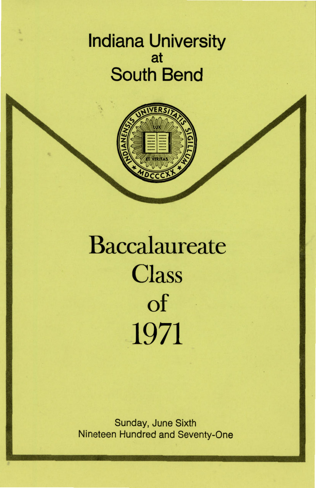## Indiana University at South Bend



# Baccalaureate **Class** of 1971

Sunday, June Sixth Nineteen Hundred and Seventy-One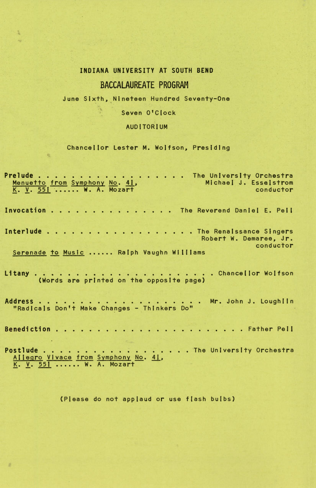## INDIANA UNIVERSITY AT SOUTH BEND

## BACCALAUREATE PROGRAM

#### June Sixth, Nineteen Hundred Seventy-One

### Seven O'Clock

## AUDITORIUM

#### Chancel lor Lester M. Wolfson, Presiding

 $\eta_{\rm L}$ 

ä

Prelude .•..•.....•.. Menuetto from Symphony No. 11. K. V. 551 ...... W. A. Mozart Invocation . . . . . . . . . . . . . . The Reverend Daniel E. Peil .... The University Orchestra Michael J. Esselstrom conductor Interlude . . . . . . . . . . . . . . . . . The Renaissance Singers Robert W. Demaree, Jr. conductor Serenade to Music ...... Ralph Vaughn Williams Litany • Chancel lor Wolfson (Words are printed on the opposite page) Address . . . ...•..•••.. Mr. John J. Loughlin "Radicals Don't Make Changes- Thinkers Do" Benediction . . . . . . . . • . • . . . . . . . . . . . • Father Pe II Postlude • . • . • . . . . . . . . • .. The University Orchestra Allegro Vivace from Symphony No. 11. f. y. 221 ...... W. A. Mozart

(P(ease do not applaud or use f(ash bulbs)